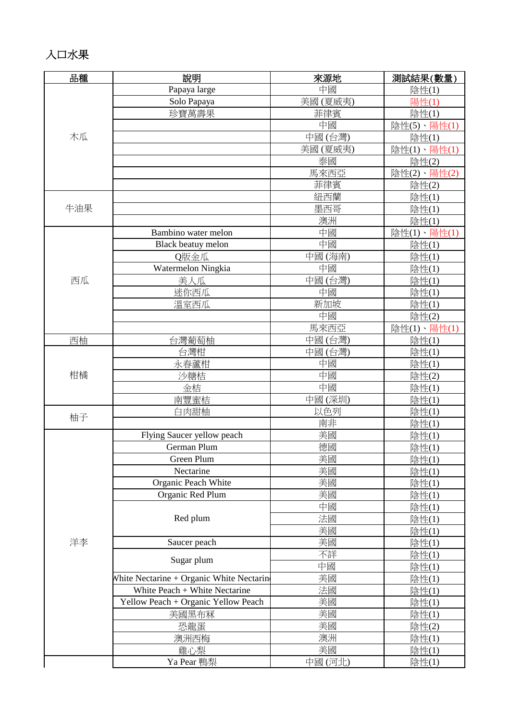### 入口水果

| 品種  | 說明                                       | 來源地     | 測試結果(數量)    |
|-----|------------------------------------------|---------|-------------|
|     | Papaya large                             | 中國      | 陰性(1)       |
|     | Solo Papaya                              | 美國(夏威夷) | 陽性(1)       |
|     | 珍寶萬壽果                                    | 菲律賓     | 陰性(1)       |
|     |                                          | 中國      | 陰性(5)、陽性(1) |
| 木瓜  |                                          | 中國(台灣)  | 陰性(1)       |
|     |                                          | 美國(夏威夷) | 陰性(1)、陽性(1) |
|     |                                          | 泰國      | 陰性(2)       |
|     |                                          | 馬來西亞    | 陰性(2)、陽性(2) |
|     |                                          | 菲律賓     | 陰性(2)       |
|     |                                          | 紐西蘭     | 陰性(1)       |
| 牛油果 |                                          | 墨西哥     | 陰性(1)       |
|     |                                          | 澳洲      | 陰性(1)       |
|     | Bambino water melon                      | 中國      | 陰性(1)、陽性(1) |
|     | Black beatuy melon                       | 中國      | 陰性(1)       |
|     | Q版金瓜                                     | 中國(海南)  | 陰性(1)       |
|     | Watermelon Ningkia                       | 中國      | 陰性(1)       |
| 西瓜  | 美人瓜                                      | 中國(台灣)  | 陰性(1)       |
|     | 迷你西瓜                                     | 中國      | 陰性(1)       |
|     | 溫室西瓜                                     | 新加坡     | 陰性(1)       |
|     |                                          | 中國      | 陰性(2)       |
|     |                                          | 馬來西亞    | 陰性(1)、陽性(1) |
| 西柚  | 台灣葡萄柚                                    | 中國(台灣)  | 陰性(1)       |
|     | 台灣柑                                      | 中國(台灣)  | 陰性(1)       |
| 柑橘  | 永春蘆柑                                     | 中國      | 陰性(1)       |
|     | 沙糖桔                                      | 中國      | 陰性(2)       |
|     | 金桔                                       | 中國      | 陰性(1)       |
|     | 南豐蜜桔                                     | 中國(深圳)  | 陰性(1)       |
|     | 白肉甜柚                                     | 以色列     | 陰性(1)       |
| 柚子  |                                          | 南非      | 陰性(1)       |
|     | Flying Saucer yellow peach               | 美國      | 陰性(1)       |
|     | German Plum                              | 德國      | 陰性(1)       |
|     | Green Plum                               | 美國      | 陰性(1)       |
|     | Nectarine                                | 美國      | 陰性(1)       |
|     | Organic Peach White                      | 美國      | 陰性(1)       |
|     | Organic Red Plum                         | 美國      | 陰性(1)       |
|     |                                          | 中國      | 陰性(1)       |
|     | Red plum                                 | 法國      | 陰性(1)       |
|     |                                          | 美國      | 陰性(1)       |
| 洋李  | Saucer peach                             | 美國      | 陰性(1)       |
|     | Sugar plum                               | 不詳      | 陰性(1)       |
|     |                                          | 中國      | 陰性(1)       |
|     | White Nectarine + Organic White Nectarin | 美國      | 陰性(1)       |
|     | White Peach + White Nectarine            | 法國      | 陰性(1)       |
|     | Yellow Peach + Organic Yellow Peach      | 美國      | 陰性(1)       |
|     | 美國黑布冧                                    | 美國      | 陰性(1)       |
|     | 恐龍蛋                                      | 美國      | 陰性(2)       |
|     | 澳洲西梅                                     | 澳洲      | 陰性(1)       |
|     | 雞心梨                                      | 美國      | 陰性(1)       |
|     | Ya Pear 鴨梨                               | 中國(河北)  | 陰性(1)       |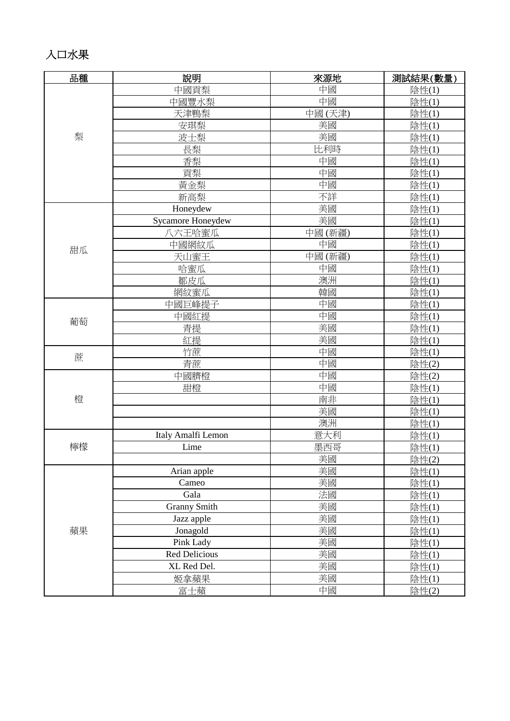### 入口水果

| 品種 | 說明                  | 來源地    | 測試結果(數量) |
|----|---------------------|--------|----------|
|    | 中國貢梨                | 中國     | 陰性(1)    |
|    | 中國豐水梨               | 中國     | 陰性(1)    |
|    | 天津鴨梨                | 中國(天津) | 陰性(1)    |
|    | 安琪梨                 | 美國     | 陰性(1)    |
| 梨  | 波士梨                 | 美國     | 陰性(1)    |
|    | 長梨                  | 比利時    | 陰性(1)    |
|    | 香梨                  | 中國     | 陰性(1)    |
|    | 貢梨                  | 中國     | 陰性(1)    |
|    | 黃金梨                 | 中國     | 陰性(1)    |
|    | 新高梨                 | 不詳     | 陰性(1)    |
|    | Honeydew            | 美國     | 陰性(1)    |
|    | Sycamore Honeydew   | 美國     | 陰性(1)    |
|    | 八六王哈蜜瓜              | 中國(新疆) | 陰性(1)    |
| 甜瓜 | 中國網紋瓜               | 中國     | 陰性(1)    |
|    | 天山蜜王                | 中國(新疆) | 陰性(1)    |
|    | 哈蜜瓜                 | 中國     | 陰性(1)    |
|    | 鄒皮瓜                 | 澳洲     | 陰性(1)    |
|    | 網紋蜜瓜                | 韓國     | 陰性(1)    |
|    | 中國巨峰提子              | 中國     | 陰性(1)    |
|    | 中國紅提                | 中國     | 陰性(1)    |
| 葡萄 | 青提                  | 美國     | 陰性(1)    |
|    | 紅提                  | 美國     | 陰性(1)    |
| 蔗  | 竹蔗                  | 中國     | 陰性(1)    |
|    | 青蔗                  | 中國     | 陰性(2)    |
|    | 中國臍橙                | 中國     | 陰性(2)    |
|    | 甜橙                  | 中國     | 陰性(1)    |
| 橙  |                     | 南非     | 陰性(1)    |
|    |                     | 美國     | 陰性(1)    |
|    |                     | 澳洲     | 陰性(1)    |
|    | Italy Amalfi Lemon  | 意大利    | 陰性(1)    |
| 檸檬 | Lime                | 墨西哥    | 陰性(1)    |
|    |                     | 美國     | 陰性(2)    |
|    | Arian apple         | 美國     | 陰性(1)    |
|    | Cameo               | 美國     | 陰性(1)    |
|    | Gala                | 法國     | 陰性(1)    |
|    | <b>Granny Smith</b> | 美國     | 陰性(1)    |
|    | Jazz apple          | 美國     | 陰性(1)    |
| 蘋果 | Jonagold            | 美國     | 陰性(1)    |
|    | Pink Lady           | 美國     | 陰性(1)    |
|    | Red Delicious       | 美國     | 陰性(1)    |
|    | XL Red Del.         | 美國     | 陰性(1)    |
|    | 姬拿蘋果                | 美國     | 陰性(1)    |
|    | 富士蘋                 | 中國     | 陰性(2)    |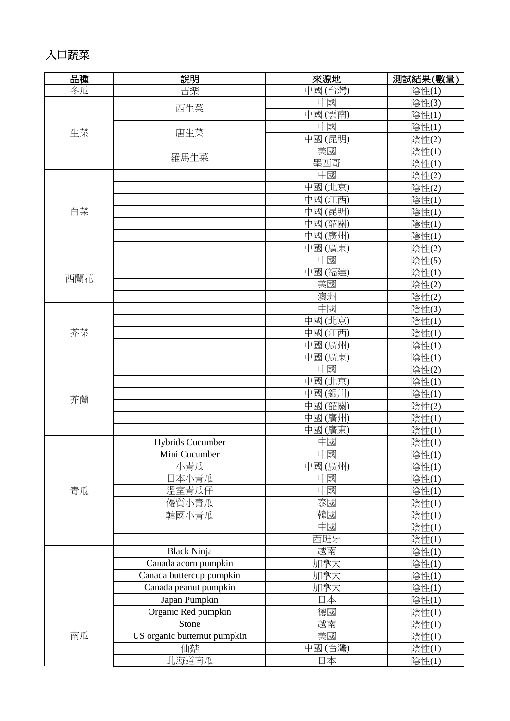### 入口蔬菜

| 品種  | 說明                           | 來源地    | 測試結果(數量) |
|-----|------------------------------|--------|----------|
| 冬瓜  | 吉樂                           | 中國(台灣) | 陰性(1)    |
|     | 西生菜                          | 中國     | 陰性(3)    |
|     |                              | 中國(雲南) | 陰性(1)    |
|     |                              | 中國     | 陰性(1)    |
| 生菜  | 唐生菜                          | 中國(昆明) | 陰性(2)    |
|     |                              | 美國     | 陰性(1)    |
|     | 羅馬生菜                         | 墨西哥    | 陰性(1)    |
|     |                              | 中國     | 陰性(2)    |
|     |                              | 中國(北京) | 陰性(2)    |
|     |                              | 中國(江西) | 陰性(1)    |
| 白菜  |                              | 中國(昆明) | 陰性(1)    |
|     |                              | 中國(韶關) | 陰性(1)    |
|     |                              | 中國(廣州) | 陰性(1)    |
|     |                              | 中國(廣東) | 陰性(2)    |
|     |                              | 中國     | 陰性(5)    |
|     |                              | 中國(福建) | 陰性(1)    |
| 西蘭花 |                              | 美國     | 陰性(2)    |
|     |                              | 澳洲     | 陰性(2)    |
|     |                              | 中國     | 陰性(3)    |
|     |                              | 中國(北京) | 陰性(1)    |
| 芥菜  |                              | 中國(江西) | 陰性(1)    |
|     |                              | 中國(廣州) | 陰性(1)    |
|     |                              | 中國(廣東) | 陰性(1)    |
|     |                              | 中國     | 陰性(2)    |
|     |                              | 中國(北京) | 陰性(1)    |
|     |                              | 中國(銀川) | 陰性(1)    |
| 芥蘭  |                              | 中國(韶關) | 陰性(2)    |
|     |                              | 中國(廣州) | 陰性(1)    |
|     |                              | 中國(廣東) | 陰性(1)    |
|     | <b>Hybrids Cucumber</b>      | 中國     | 陰性(1)    |
|     | Mini Cucumber                | 中國     | 陰性(1)    |
|     | 小青瓜                          | 中國(廣州) | 陰性(1)    |
|     | 日本小青瓜                        | 中國     | 陰性(1)    |
| 青瓜  | 溫室青瓜仔                        | 中國     | 陰性(1)    |
|     | 優質小青瓜                        | 泰國     | 陰性(1)    |
|     | 韓國小青瓜                        | 韓國     | 陰性(1)    |
|     |                              | 中國     | 陰性(1)    |
|     |                              | 西班牙    | 陰性(1)    |
|     | <b>Black Ninja</b>           | 越南     | 陰性(1)    |
|     | Canada acorn pumpkin         | 加拿大    | 陰性(1)    |
|     | Canada buttercup pumpkin     | 加拿大    | 陰性(1)    |
|     | Canada peanut pumpkin        | 加拿大    | 陰性(1)    |
|     | Japan Pumpkin                | 日本     | 陰性(1)    |
|     | Organic Red pumpkin          | 德國     | 陰性(1)    |
|     | Stone                        | 越南     | 陰性(1)    |
| 南瓜  | US organic butternut pumpkin | 美國     | 陰性(1)    |
|     | 仙菇                           | 中國(台灣) | 陰性(1)    |
|     | 北海道南瓜                        | 日本     | 陰性(1)    |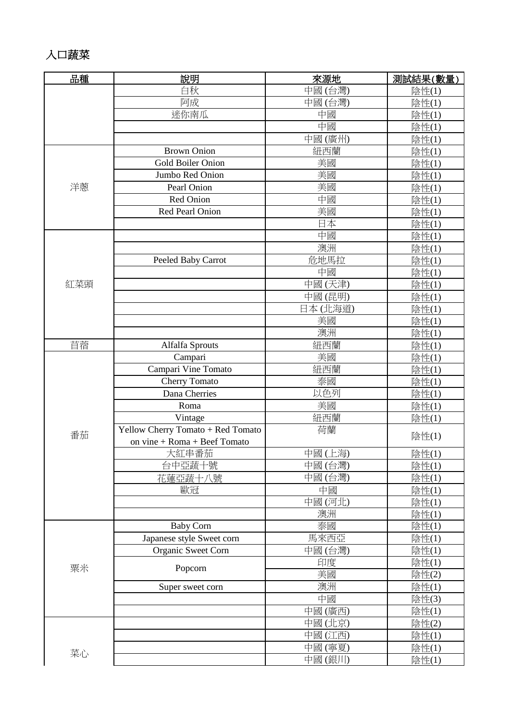### 入口蔬菜

| 品種  | 說明                                | 來源地     | 測試結果(數量) |
|-----|-----------------------------------|---------|----------|
|     | 白秋                                | 中國(台灣)  | 陰性(1)    |
|     | 阿成                                | 中國(台灣)  | 陰性(1)    |
|     | 迷你南瓜                              | 中國      | 陰性(1)    |
|     |                                   | 中國      | 陰性(1)    |
|     |                                   | 中國(廣州)  | 陰性(1)    |
|     | <b>Brown Onion</b>                | 紐西蘭     | 陰性(1)    |
|     | Gold Boiler Onion                 | 美國      | 陰性(1)    |
|     | Jumbo Red Onion                   | 美國      | 陰性(1)    |
| 洋蔥  | Pearl Onion                       | 美國      | 陰性(1)    |
|     | Red Onion                         | 中國      | 陰性(1)    |
|     | Red Pearl Onion                   | 美國      | 陰性(1)    |
|     |                                   | 日本      | 陰性(1)    |
|     |                                   | 中國      | 陰性(1)    |
|     |                                   | 澳洲      | 陰性(1)    |
|     | Peeled Baby Carrot                | 危地馬拉    | 陰性(1)    |
|     |                                   | 中國      | 陰性(1)    |
| 紅菜頭 |                                   | 中國(天津)  | 陰性(1)    |
|     |                                   | 中國(昆明)  | 陰性(1)    |
|     |                                   | 日本(北海道) | 陰性(1)    |
|     |                                   | 美國      | 陰性(1)    |
|     |                                   | 澳洲      | 陰性(1)    |
| 苜蓿  | Alfalfa Sprouts                   | 紐西蘭     | 陰性(1)    |
|     | Campari                           | 美國      | 陰性(1)    |
|     | Campari Vine Tomato               | 紐西蘭     | 陰性(1)    |
|     | <b>Cherry Tomato</b>              | 泰國      | 陰性(1)    |
|     | Dana Cherries                     | 以色列     | 陰性(1)    |
|     | Roma                              | 美國      | 陰性(1)    |
|     | Vintage                           | 紐西蘭     | 陰性(1)    |
| 番茄  | Yellow Cherry Tomato + Red Tomato | 荷蘭      |          |
|     | on vine + Roma + Beef Tomato      |         | 陰性(1)    |
|     | 大紅串番茄                             | 中國(上海)  | 陰性(1)    |
|     | 台中亞蔬十號                            | 中國(台灣)  | 陰性(1)    |
|     | 花蓮亞蔬十八號                           | 中國(台灣)  | 陰性(1)    |
|     | 歐冠                                | 中國      | 陰性(1)    |
|     |                                   | 中國(河北)  | 陰性(1)    |
|     |                                   | 澳洲      | 陰性(1)    |
|     | <b>Baby Corn</b>                  | 泰國      | 陰性(1)    |
|     | Japanese style Sweet corn         | 馬來西亞    | 陰性(1)    |
|     | Organic Sweet Corn                | 中國(台灣)  | 陰性(1)    |
| 粟米  | Popcorn                           | 印度      | 陰性(1)    |
|     |                                   | 美國      | 陰性(2)    |
|     | Super sweet corn                  | 澳洲      | 陰性(1)    |
|     |                                   | 中國      | 陰性(3)    |
|     |                                   | 中國(廣西)  | 陰性(1)    |
|     |                                   | 中國(北京)  | 陰性(2)    |
|     |                                   | 中國(江西)  | 陰性(1)    |
| 菜心  |                                   | 中國(寧夏)  | 陰性(1)    |
|     |                                   | 中國(銀川)  | 陰性(1)    |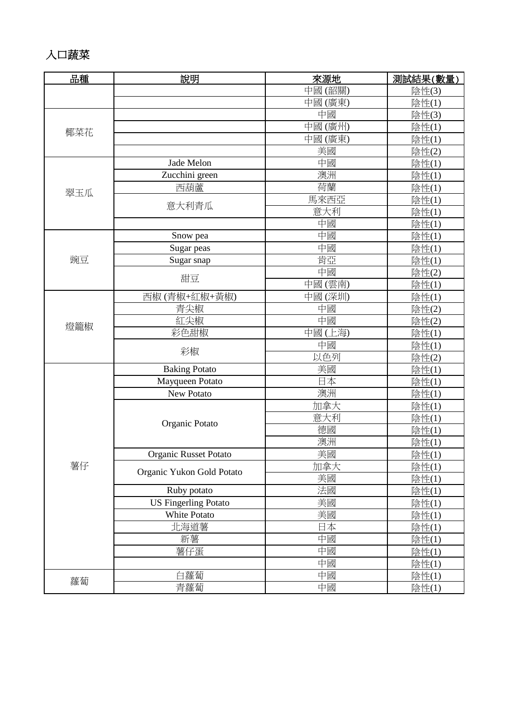### 入口蔬菜

| 品種  | 說明                           | 來源地    | 測試結果(數量) |
|-----|------------------------------|--------|----------|
|     |                              | 中國(韶關) | 陰性(3)    |
|     |                              | 中國(廣東) | 陰性(1)    |
|     |                              | 中國     | 陰性(3)    |
|     |                              | 中國(廣州) | 陰性(1)    |
| 椰菜花 |                              | 中國(廣東) | 陰性(1)    |
|     |                              | 美國     | 陰性(2)    |
|     | Jade Melon                   | 中國     | 陰性(1)    |
|     | Zucchini green               | 澳洲     | 陰性(1)    |
|     | 西葫蘆                          | 荷蘭     | 陰性(1)    |
| 翠玉瓜 |                              | 馬來西亞   | 陰性(1)    |
|     | 意大利青瓜                        | 意大利    | 陰性(1)    |
|     |                              | 中國     | 陰性(1)    |
|     | Snow pea                     | 中國     | 陰性(1)    |
|     | Sugar peas                   | 中國     | 陰性(1)    |
| 豌豆  | Sugar snap                   | 肯亞     | 陰性(1)    |
|     |                              | 中國     | 陰性(2)    |
|     | 甜豆                           | 中國(雲南) | 陰性(1)    |
|     | 西椒(青椒+紅椒+黄椒)                 | 中國(深圳) | 陰性(1)    |
|     | 青尖椒                          | 中國     | 陰性(2)    |
|     | 紅尖椒                          | 中國     | 陰性(2)    |
| 燈籠椒 | 彩色甜椒                         | 中國(上海) | 陰性(1)    |
|     |                              | 中國     | 陰性(1)    |
|     | 彩椒                           | 以色列    | 陰性(2)    |
|     | <b>Baking Potato</b>         | 美國     | 陰性(1)    |
|     | Mayqueen Potato              | 日本     | 陰性(1)    |
|     | New Potato                   | 澳洲     | 陰性(1)    |
|     |                              | 加拿大    | 陰性(1)    |
|     |                              | 意大利    | 陰性(1)    |
|     | Organic Potato               | 德國     | 陰性(1)    |
|     |                              | 澳洲     | 陰性(1)    |
|     | <b>Organic Russet Potato</b> | 美國     | 陰性(1)    |
| 薯仔  |                              | 加拿大    | 陰性(1)    |
|     | Organic Yukon Gold Potato    | 美國     | 陰性(1)    |
|     | Ruby potato                  | 法國     | 陰性(1)    |
|     | <b>US Fingerling Potato</b>  | 美國     | 陰性(1)    |
|     | White Potato                 | 美國     | 陰性(1)    |
|     | 北海道薯                         | 日本     | 陰性(1)    |
|     | 新薯                           | 中國     | 陰性(1)    |
|     | 薯仔蛋                          | 中國     | 陰性(1)    |
|     |                              | 中國     | 陰性(1)    |
|     | 白蘿蔔                          | 中國     | 陰性(1)    |
| 蘿蔔  | 青蘿蔔                          | 中國     | 陰性(1)    |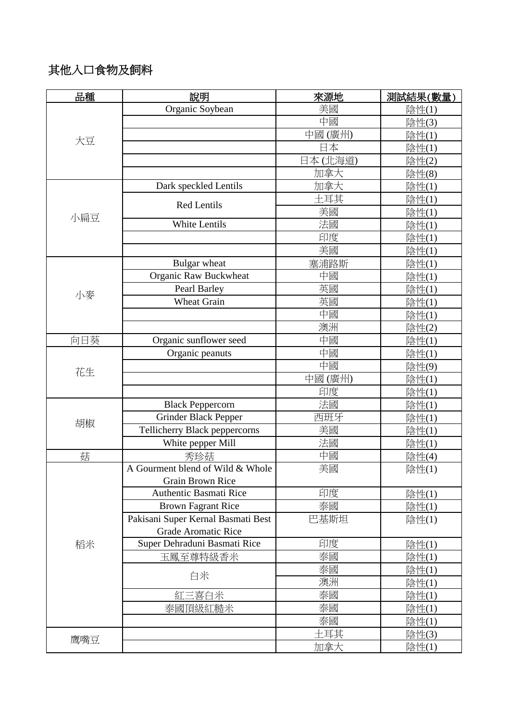#### 其他入口食物及飼料

| 品種  | 說明                                 | 來源地        | 測試結果(數量) |
|-----|------------------------------------|------------|----------|
|     | Organic Soybean                    | 美國         | 陰性(1)    |
|     |                                    | 中國         | 陰性(3)    |
| 大豆  |                                    | 中國(廣州)     | 陰性(1)    |
|     |                                    | 日本         | 陰性(1)    |
|     |                                    | 日本(北海道)    | 陰性(2)    |
|     |                                    | 加拿大        | 陰性(8)    |
|     | Dark speckled Lentils              | 加拿大        | 陰性(1)    |
|     | <b>Red Lentils</b>                 | 土耳其        | 陰性(1)    |
| 小扁豆 |                                    | 美國         | 陰性(1)    |
|     | <b>White Lentils</b>               | 法國         | 陰性(1)    |
|     |                                    | 印度         | 陰性(1)    |
|     |                                    | 美國         | 陰性(1)    |
|     | Bulgar wheat                       | 塞浦路斯       | 陰性(1)    |
|     | Organic Raw Buckwheat              | 中國         | 陰性(1)    |
| 小麥  | Pearl Barley                       | 英國         | 陰性(1)    |
|     | <b>Wheat Grain</b>                 | 英國         | 陰性(1)    |
|     |                                    | 中國         | 陰性(1)    |
|     |                                    | 澳洲         | 陰性(2)    |
| 向日葵 | Organic sunflower seed             | 中國         | 陰性(1)    |
|     | Organic peanuts                    | 中國         | 陰性(1)    |
| 花生  |                                    | 中國         | 陰性(9)    |
|     |                                    | 中國(廣州)     | 陰性(1)    |
|     |                                    | 印度         | 陰性(1)    |
|     | <b>Black Peppercorn</b>            | 法國         | 陰性(1)    |
| 胡椒  | <b>Grinder Black Pepper</b>        | 西班牙        | 陰性(1)    |
|     | Tellicherry Black peppercorns      | 美國         | 陰性(1)    |
|     | White pepper Mill                  | 法國         | 陰性(1)    |
| 菇   | 秀珍菇                                | 中國         | 陰性(4)    |
|     | A Gourment blend of Wild & Whole   | 美國         | 陰性(1)    |
|     | Grain Brown Rice                   |            |          |
|     | <b>Authentic Basmati Rice</b>      | 印度         | 陰性(1)    |
|     | <b>Brown Fagrant Rice</b>          | 泰國         | 陰性(1)    |
|     | Pakisani Super Kernal Basmati Best | 巴基斯坦       | 陰性(1)    |
|     | <b>Grade Aromatic Rice</b>         |            |          |
| 稻米  | Super Dehraduni Basmati Rice       | 印度         | 陰性(1)    |
|     | 玉鳳至尊特級香米                           | 泰國         | 陰性(1)    |
|     | 白米                                 | 泰國         | 陰性(1)    |
|     |                                    | 澳洲         | 陰性(1)    |
|     | 紅三喜白米                              | 泰國         | 陰性(1)    |
|     | 泰國頂級紅糙米                            | 泰國         | 陰性(1)    |
|     |                                    | 泰國         | 陰性(1)    |
| 鹰嘴豆 |                                    | 土耳其        | 陰性(3)    |
|     |                                    | <u>加拿大</u> | 陰性(1)    |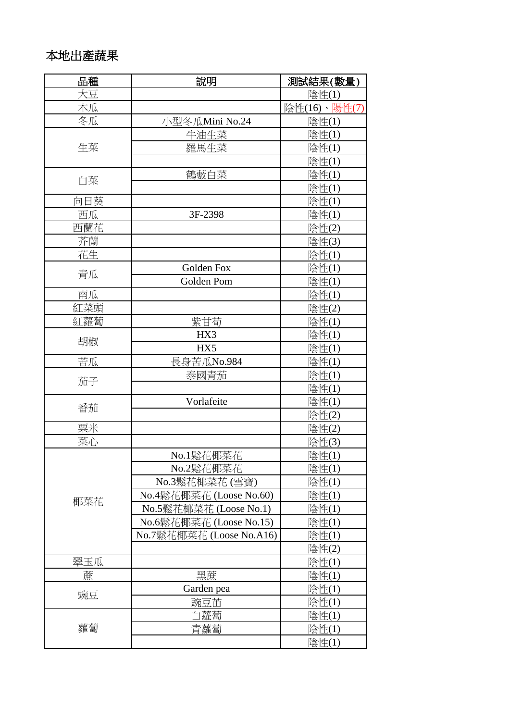### 本地出產蔬果

| 品種  | 說明                       | 測試結果(數量)     |
|-----|--------------------------|--------------|
| 大豆  |                          | 陰性(1)        |
| 木瓜  |                          | 陰性(16)、陽性(7) |
| 冬瓜  | 小型冬瓜Mini No.24           | 陰性(1)        |
|     | 牛油生菜                     | 陰性(1)        |
| 生菜  | 羅馬生菜                     | 陰性(1)        |
|     |                          | 陰性(1)        |
|     | 鶴藪白菜                     | 陰性(1)        |
| 白菜  |                          | 陰性(1)        |
| 向日葵 |                          | 陰性(1)        |
| 西瓜  | 3F-2398                  | 陰性(1)        |
| 西蘭花 |                          | 陰性(2)        |
| 芥蘭  |                          | 陰性(3)        |
| 花生  |                          | 陰性(1)        |
| 青瓜  | <b>Golden Fox</b>        | 陰性(1)        |
|     | Golden Pom               | 陰性(1)        |
| 南瓜  |                          | 陰性(1)        |
| 紅菜頭 |                          | 陰性(2)        |
| 紅蘿蔔 | 紫甘荀                      | 陰性(1)        |
|     | HX3                      | 陰性(1)        |
| 胡椒  | HX5                      | 陰性(1)        |
| 苦瓜  | 長身苦瓜No.984               | 陰性(1)        |
| 茄子  | 泰國青茄                     | 陰性(1)        |
|     |                          | 陰性(1)        |
| 番茄  | Vorlafeite               | 陰性(1)        |
|     |                          | 陰性(2)        |
| 粟米  |                          | 陰性(2)        |
| 菜心  |                          | 陰性(3)        |
|     | No.1鬆花椰菜花                | 陰性(1)        |
|     | No.2鬆花椰菜花                | 陰性(1)        |
|     | No.3鬆花椰菜花(雪寶)            | 陰性(1)        |
| 椰菜花 | No.4鬆花椰菜花 (Loose No.60)  | 陰性(1)        |
|     | No.5鬆花椰菜花 (Loose No.1)   | 陰性(1)        |
|     | No.6鬆花椰菜花 (Loose No.15)  | 陰性(1)        |
|     | No.7鬆花椰菜花 (Loose No.A16) | 陰性(1)        |
|     |                          | 陰性(2)        |
| 翠玉瓜 |                          | 陰性(1)        |
| 蔗   | 黑蔗                       | 陰性(1)        |
| 豌豆  | Garden pea               | 陰性(1)        |
|     | 豌豆苗                      | 陰性(1)        |
|     | 白蘿蔔                      | 陰性(1)        |
| 蘿蔔  | 青蘿蔔                      | 陰性(1)        |
|     |                          | 陰性(1)        |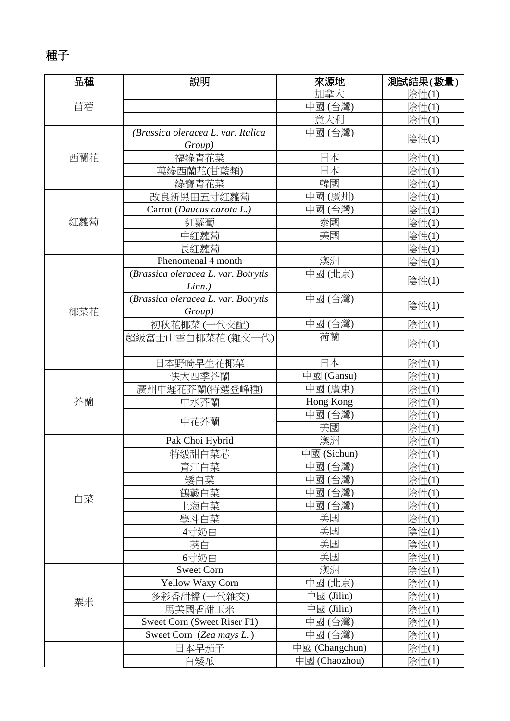### 種子

| 品種  | 說明                                  | 來源地            | 測試結果(數量) |
|-----|-------------------------------------|----------------|----------|
|     |                                     | 加拿大            | 陰性(1)    |
| 苜蓿  |                                     | 中國(台灣)         | 陰性(1)    |
|     |                                     | 意大利            | 陰性(1)    |
|     | (Brassica oleracea L. var. Italica  | 中國(台灣)         | 陰性(1)    |
|     | Group)                              |                |          |
| 西蘭花 | 福綠青花菜                               | 日本             | 陰性(1)    |
|     | 萬綠西蘭花(甘藍類)                          | 日本             | 陰性(1)    |
|     | 綠寶青花菜                               | 韓國             | 陰性(1)    |
|     | 改良新黑田五寸紅蘿蔔                          | 中國(廣州)         | 陰性(1)    |
|     | Carrot (Daucus carota L.)           | 中國(台灣)         | 陰性(1)    |
| 紅蘿蔔 | 紅蘿蔔                                 | 泰國             | 陰性(1)    |
|     | 中紅蘿蔔                                | 美國             | 陰性(1)    |
|     | 長紅蘿蔔                                |                | 陰性(1)    |
|     | Phenomenal 4 month                  | 澳洲             | 陰性(1)    |
|     | (Brassica oleracea L. var. Botrytis | 中國(北京)         | 陰性(1)    |
|     | $Linn.$ )                           |                |          |
|     | (Brassica oleracea L. var. Botrytis | 中國(台灣)         | 陰性(1)    |
| 椰菜花 | Group)                              |                |          |
|     | 初秋花椰菜(一代交配)                         | 中國(台灣)         | 陰性(1)    |
|     | 超級富士山雪白椰菜花(雜交一代)                    | 荷蘭             | 陰性(1)    |
|     | 日本野崎早生花椰菜                           | 日本             | 陰性(1)    |
|     | 快大四季芥蘭                              | 中國 (Gansu)     | 陰性(1)    |
|     | 廣州中遲花芥蘭(特選登峰種)                      | 中國(廣東)         | 陰性(1)    |
| 芥蘭  | 中水芥蘭                                | Hong Kong      | 陰性(1)    |
|     | 中花芥蘭                                | 中國(台灣)         | 陰性(1)    |
|     |                                     | 美國             | 陰性(1)    |
|     | Pak Choi Hybrid                     | 澳洲             | 陰性(1)    |
|     | 特級甜白菜芯                              | 中國 (Sichun)    | 陰性(1)    |
|     | 青江白菜                                | 中國(台灣)         | 陰性(1)    |
|     | 矮白菜                                 | 中國(台灣)         | 陰性(1)    |
| 白菜  | 鶴藪白菜                                | 中國(台灣)         | 陰性(1)    |
|     | 上海白菜                                | 中國(台灣)         | 陰性(1)    |
|     | 學斗白菜                                | 美國             | 陰性(1)    |
|     | 4寸奶白                                | 美國             | 陰性(1)    |
|     | 葵白                                  | 美國             | 陰性(1)    |
|     | 6寸奶白                                | 美國             | 陰性(1)    |
|     | <b>Sweet Corn</b>                   | 澳洲             | 陰性(1)    |
|     | Yellow Waxy Corn                    | 中國(北京)         | 陰性(1)    |
| 粟米  | 多彩香甜糯 (一代雜交)                        | 中國 (Jilin)     | 陰性(1)    |
|     | 馬美國香甜玉米                             | 中國 (Jilin)     | 陰性(1)    |
|     | Sweet Corn (Sweet Riser F1)         | 中國(台灣)         | 陰性(1)    |
|     | Sweet Corn (Zea mays L.)            | 中國(台灣)         | 陰性(1)    |
|     | 日本早茄子                               | 中國 (Changchun) | 陰性(1)    |
|     | 白矮瓜                                 | 中國 (Chaozhou)  | 陰性(1)    |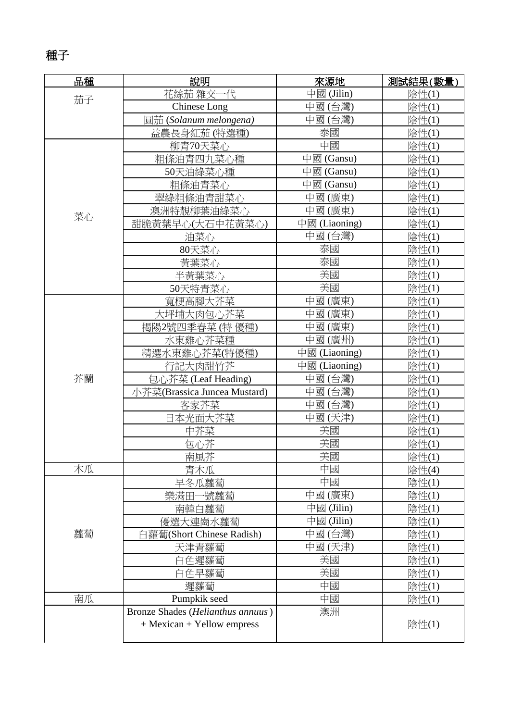# 種子

| 品種 | 說明                                | 來源地           | 測試結果(數量)      |
|----|-----------------------------------|---------------|---------------|
| 茄子 | 花絲茄 雜交一代                          | 中國 (Jilin)    | 陰性(1)         |
|    | Chinese Long                      | 中國(台灣)        | 陰性(1)         |
|    | 圓茄 (Solanum melongena)            | 中國(台灣)        | 陰性(1)         |
|    | 益農長身紅茄 (特選種)                      | 泰國            | 陰性(1)         |
|    | 柳青70天菜心                           | 中國            | 陰性(1)         |
|    | 粗條油青四九菜心種                         | 中國 (Gansu)    | 陰性(1)         |
|    | 50天油綠菜心種                          | 中國 (Gansu)    | 陰性(1)         |
|    | 粗條油青菜心                            | 中國 (Gansu)    | 陰性(1)         |
|    | 翠綠粗條油青甜菜心                         | 中國(廣東)        | 陰性(1)         |
| 菜心 | 澳洲特靚柳葉油綠菜心                        | 中國(廣東)        | 陰性(1)         |
|    | 甜脆黃葉早心(大石中花黃菜心)                   | 中國 (Liaoning) | 陰性(1)         |
|    | 油菜心                               | 中國(台灣)        | 陰性(1)         |
|    | 80天菜心                             | 泰國            | 陰性(1)         |
|    | 黃葉菜心                              | 泰國            | 陰性(1)         |
|    | 半黃葉菜心                             | 美國            | 陰性(1)         |
|    | 50天特青菜心                           | 美國            | 陰性(1)         |
|    | 寬梗高腳大芥菜                           | 中國(廣東)        | 陰性(1)         |
|    | 大坪埔大肉包心芥菜                         | 中國(廣東)        | 陰性(1)         |
|    | 揭陽2號四季春菜 (特優種)                    | 中國(廣東)        | 陰性(1)         |
|    | 水東雞心芥菜種                           | 中國(廣州)        | 陰性(1)         |
|    | 精選水東雞心芥菜(特優種)                     | 中國 (Liaoning) | 陰性(1)         |
|    | 行記大肉甜竹芥                           | 中國 (Liaoning) | 陰性(1)         |
| 芥蘭 | 包心芥菜 (Leaf Heading)               | 中國(台灣)        | 陰性(1)         |
|    | 小芥菜(Brassica Juncea Mustard)      | 中國(台灣)        | 陰性(1)         |
|    | 客家芥菜                              | 中國(台灣)        | 陰性(1)         |
|    | 日本光面大芥菜                           | 中國(天津)        | 陰性(1)         |
|    | 中芥菜                               | 美國            | 陰性(1)         |
|    | 包心芥                               | 美國            | 陰性(1)         |
|    | 南風芥                               | 美國            | 陰性(1)         |
| 木瓜 | 青木瓜                               | 中國            | 陰性(4)         |
|    | 早冬瓜蘿蔔                             | 中國            | 陰性(1)         |
|    | 樂滿田一號蘿蔔                           | 中國(廣東)        | 陰性(1)         |
|    | 南韓白蘿蔔                             | 中國 (Jilin)    | 陰性(1)         |
|    | 優選大連崗水蘿蔔                          | 中國 (Jilin)    | 陰性(1)         |
| 蘿蔔 | 白蘿蔔(Short Chinese Radish)         | 中國(台灣)        | 陰性(1)         |
|    | 天津青蘿蔔                             | 中國(天津)        | 陰性(1)         |
|    | 白色遲蘿蔔                             | 美國            | 陰性(1)         |
|    | 白色早蘿蔔                             | 美國            | 陰性(1)         |
|    | 遲蘿蔔                               | 中國            | 陰性(1)         |
| 南瓜 | Pumpkik seed                      | 中國            | <u> 陰性(1)</u> |
|    | Bronze Shades (Helianthus annuus) | 澳洲            |               |
|    | + Mexican + Yellow empress        |               | 陰性(1)         |
|    |                                   |               |               |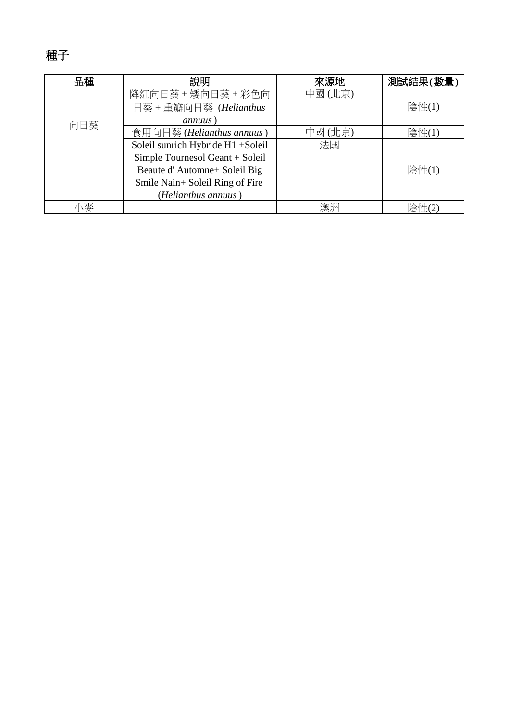# 種子

| 品種  | 說明                                | 來源地    | 測試結果(數量 |
|-----|-----------------------------------|--------|---------|
|     | 降紅向日葵 + 矮向日葵 + 彩色向                | 中國(北京) |         |
|     | 日葵 + 重瓣向日葵 (Helianthus            |        | 陰性(1)   |
| 向日葵 | annuus)                           |        |         |
|     | 食用向日葵 (Helianthus annuus)         | 中國(北京) | 陰性(1)   |
|     | Soleil sunrich Hybride H1 +Soleil | 法國     |         |
|     | Simple Tournesol Geant + Soleil   |        |         |
|     | Beaute d'Automne+ Soleil Big      |        | 陰性(1)   |
|     | Smile Nain+ Soleil Ring of Fire   |        |         |
|     | (Helianthus annuus)               |        |         |
| \麥  |                                   | 澳洲     | 陰性(2    |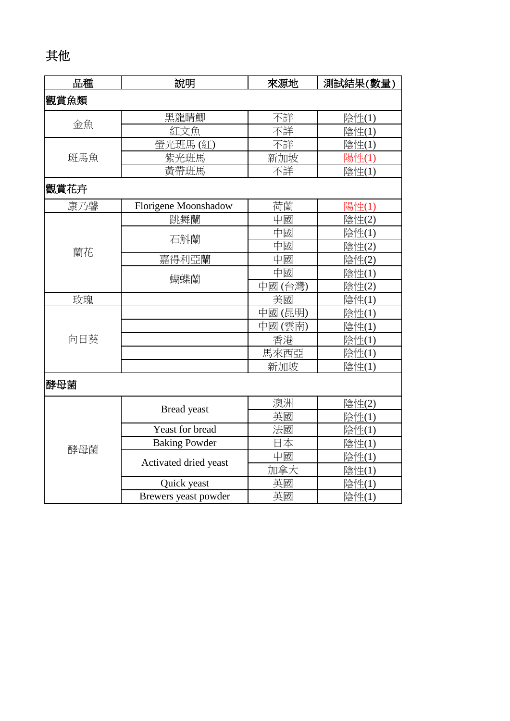# 其他

| 品種   | 說明                    | 來源地    | 測試結果(數量) |  |
|------|-----------------------|--------|----------|--|
| 觀賞魚類 |                       |        |          |  |
|      | 黑龍睛鯽                  | 不詳     | 陰性(1)    |  |
| 金魚   | 紅文魚                   | 不詳     | 陰性(1)    |  |
|      | 螢光班馬(紅)               | 不詳     | 陰性(1)    |  |
| 斑馬魚  | 紫光班馬                  | 新加坡    | 陽性(1)    |  |
|      | 黃帶班馬                  | 不詳     | 陰性(1)    |  |
| 觀賞花卉 |                       |        |          |  |
| 康乃馨  | Florigene Moonshadow  | 荷蘭     | 陽性(1)    |  |
|      | 跳舞蘭                   | 中國     | 陰性(2)    |  |
|      | 石斛蘭                   | 中國     | 陰性(1)    |  |
| 蘭花   |                       | 中國     | 陰性(2)    |  |
|      | 嘉得利亞蘭                 | 中國     | 陰性(2)    |  |
|      | 蝴蝶蘭                   | 中國     | 陰性(1)    |  |
|      |                       | 中國(台灣) | 陰性(2)    |  |
| 玫瑰   |                       | 美國     | 陰性(1)    |  |
|      |                       | 中國(昆明) | 陰性(1)    |  |
|      |                       | 中國(雲南) | 陰性(1)    |  |
| 向日葵  |                       | 香港     | 陰性(1)    |  |
|      |                       | 馬來西亞   | 陰性(1)    |  |
|      |                       | 新加坡    | 陰性(1)    |  |
| 酵母菌  |                       |        |          |  |
|      | Bread yeast           | 澳洲     | 陰性(2)    |  |
|      |                       | 英國     | 陰性(1)    |  |
|      | Yeast for bread       | 法國     | 陰性(1)    |  |
| 酵母菌  | <b>Baking Powder</b>  | 日本     | 陰性(1)    |  |
|      | Activated dried yeast | 中國     | 陰性(1)    |  |
|      |                       | 加拿大    | 陰性(1)    |  |
|      | Quick yeast           | 英國     | 陰性(1)    |  |
|      | Brewers yeast powder  | 英國     | 陰性(1)    |  |